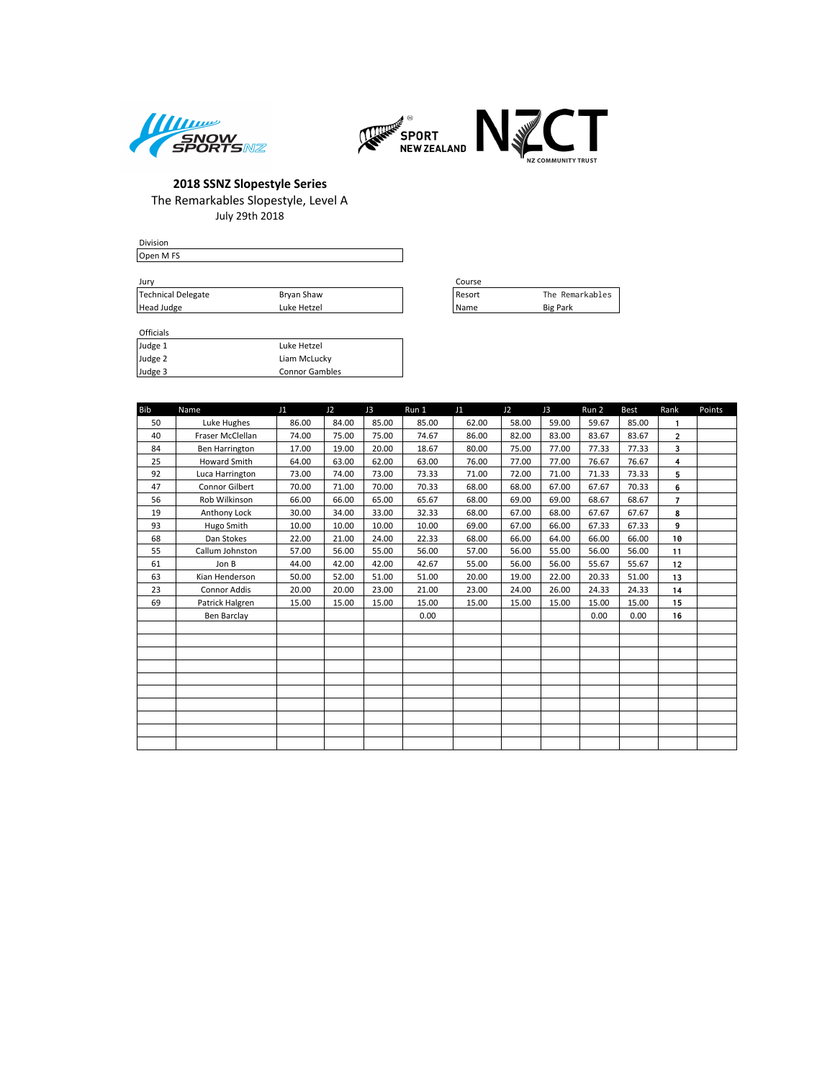



| <b>Division</b>    |             |          |
|--------------------|-------------|----------|
| Open M FS          |             |          |
|                    |             |          |
| Jury               |             | Course   |
| Technical Delegate | Bryan Shaw  | l Resort |
| Head Judge         | Luke Hetzel | l Name   |

| Course      |                 |
|-------------|-----------------|
| Resort      | The Remarkables |
| <b>Name</b> | <b>Big Park</b> |

#### Officials

 $H$ ead Judge

| Judge 1 | Luke Hetzel           |
|---------|-----------------------|
| Judge 2 | Liam McLucky          |
| Judge 3 | <b>Connor Gambles</b> |

| <b>Bib</b> | Name                | J1    | J <sub>2</sub> | J3    | Run 1 | J1    | J2    | J3    | Run 2 | <b>Best</b> | Rank           | Points |
|------------|---------------------|-------|----------------|-------|-------|-------|-------|-------|-------|-------------|----------------|--------|
| 50         | Luke Hughes         | 86.00 | 84.00          | 85.00 | 85.00 | 62.00 | 58.00 | 59.00 | 59.67 | 85.00       | $\mathbf{1}$   |        |
| 40         | Fraser McClellan    | 74.00 | 75.00          | 75.00 | 74.67 | 86.00 | 82.00 | 83.00 | 83.67 | 83.67       | $\overline{2}$ |        |
| 84         | Ben Harrington      | 17.00 | 19.00          | 20.00 | 18.67 | 80.00 | 75.00 | 77.00 | 77.33 | 77.33       | 3              |        |
| 25         | <b>Howard Smith</b> | 64.00 | 63.00          | 62.00 | 63.00 | 76.00 | 77.00 | 77.00 | 76.67 | 76.67       | 4              |        |
| 92         | Luca Harrington     | 73.00 | 74.00          | 73.00 | 73.33 | 71.00 | 72.00 | 71.00 | 71.33 | 73.33       | 5              |        |
| 47         | Connor Gilbert      | 70.00 | 71.00          | 70.00 | 70.33 | 68.00 | 68.00 | 67.00 | 67.67 | 70.33       | 6              |        |
| 56         | Rob Wilkinson       | 66.00 | 66.00          | 65.00 | 65.67 | 68.00 | 69.00 | 69.00 | 68.67 | 68.67       | $\overline{7}$ |        |
| 19         | Anthony Lock        | 30.00 | 34.00          | 33.00 | 32.33 | 68.00 | 67.00 | 68.00 | 67.67 | 67.67       | 8              |        |
| 93         | Hugo Smith          | 10.00 | 10.00          | 10.00 | 10.00 | 69.00 | 67.00 | 66.00 | 67.33 | 67.33       | 9              |        |
| 68         | Dan Stokes          | 22.00 | 21.00          | 24.00 | 22.33 | 68.00 | 66.00 | 64.00 | 66.00 | 66.00       | 10             |        |
| 55         | Callum Johnston     | 57.00 | 56.00          | 55.00 | 56.00 | 57.00 | 56.00 | 55.00 | 56.00 | 56.00       | 11             |        |
| 61         | Jon B               | 44.00 | 42.00          | 42.00 | 42.67 | 55.00 | 56.00 | 56.00 | 55.67 | 55.67       | 12             |        |
| 63         | Kian Henderson      | 50.00 | 52.00          | 51.00 | 51.00 | 20.00 | 19.00 | 22.00 | 20.33 | 51.00       | 13             |        |
| 23         | <b>Connor Addis</b> | 20.00 | 20.00          | 23.00 | 21.00 | 23.00 | 24.00 | 26.00 | 24.33 | 24.33       | 14             |        |
| 69         | Patrick Halgren     | 15.00 | 15.00          | 15.00 | 15.00 | 15.00 | 15.00 | 15.00 | 15.00 | 15.00       | 15             |        |
|            | Ben Barclay         |       |                |       | 0.00  |       |       |       | 0.00  | 0.00        | 16             |        |
|            |                     |       |                |       |       |       |       |       |       |             |                |        |
|            |                     |       |                |       |       |       |       |       |       |             |                |        |
|            |                     |       |                |       |       |       |       |       |       |             |                |        |
|            |                     |       |                |       |       |       |       |       |       |             |                |        |
|            |                     |       |                |       |       |       |       |       |       |             |                |        |
|            |                     |       |                |       |       |       |       |       |       |             |                |        |
|            |                     |       |                |       |       |       |       |       |       |             |                |        |
|            |                     |       |                |       |       |       |       |       |       |             |                |        |
|            |                     |       |                |       |       |       |       |       |       |             |                |        |
|            |                     |       |                |       |       |       |       |       |       |             |                |        |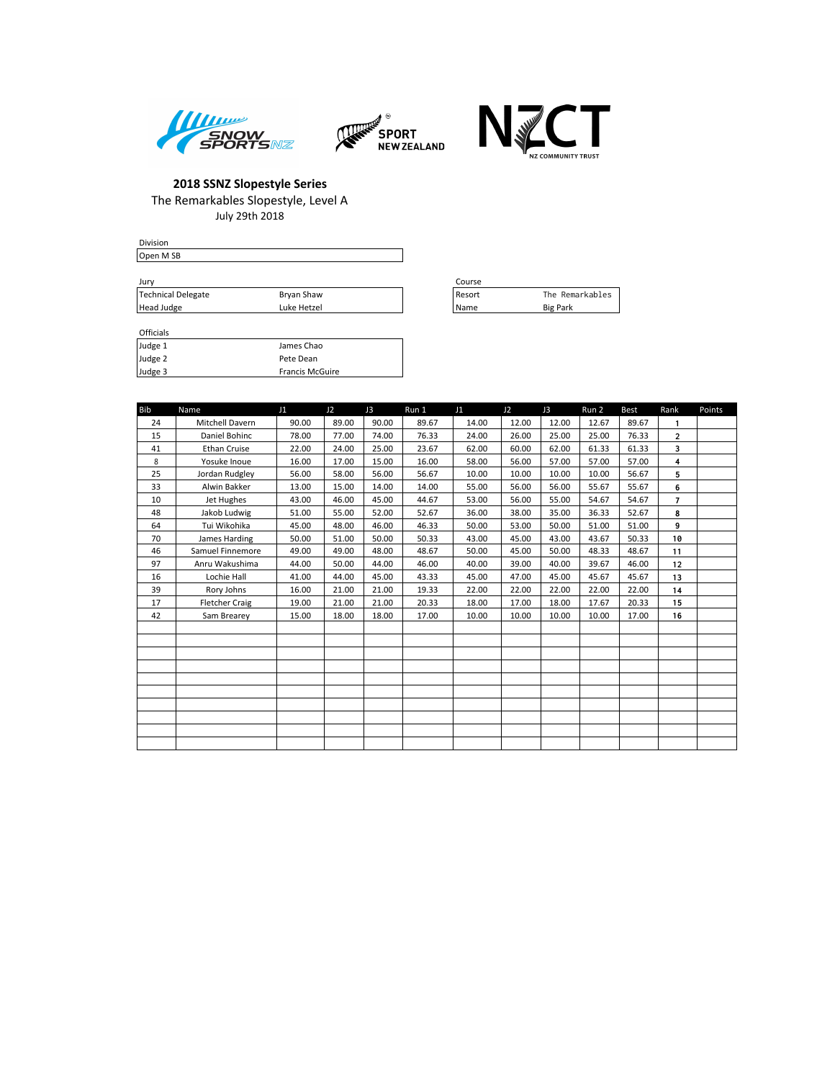



 $\Box$ 



### **2018 SSNZ Slopestyle Series** The Remarkables Slopestyle, Level A July 29th 2018

| Division  |  |  |
|-----------|--|--|
| Open M SB |  |  |
|           |  |  |

| Jurv               |             | Course |                 |
|--------------------|-------------|--------|-----------------|
| Technical Delegate | Brvan Shaw  | Resort | The Remarkables |
| Head Judge         | Luke Hetzel | Name   | <b>Big Park</b> |

| Course |                 |
|--------|-----------------|
| Resort | The Remarkables |
| Name   | <b>Big Park</b> |

#### Officials<br>Judge 1 Judge 1 James Chao<br>Judge 2 Pete Dean Pete Dean Judge 3 Francis McGuire

| <b>Bib</b> | Name                  | J1    | J <sub>2</sub> | J3    | Run 1 | J1    | J2    | J3    | Run 2 | <b>Best</b> | Rank           | Points |
|------------|-----------------------|-------|----------------|-------|-------|-------|-------|-------|-------|-------------|----------------|--------|
| 24         | Mitchell Davern       | 90.00 | 89.00          | 90.00 | 89.67 | 14.00 | 12.00 | 12.00 | 12.67 | 89.67       | 1              |        |
| 15         | Daniel Bohinc         | 78.00 | 77.00          | 74.00 | 76.33 | 24.00 | 26.00 | 25.00 | 25.00 | 76.33       | $\overline{2}$ |        |
| 41         | Ethan Cruise          | 22.00 | 24.00          | 25.00 | 23.67 | 62.00 | 60.00 | 62.00 | 61.33 | 61.33       | 3              |        |
| 8          | Yosuke Inoue          | 16.00 | 17.00          | 15.00 | 16.00 | 58.00 | 56.00 | 57.00 | 57.00 | 57.00       | 4              |        |
| 25         | Jordan Rudgley        | 56.00 | 58.00          | 56.00 | 56.67 | 10.00 | 10.00 | 10.00 | 10.00 | 56.67       | 5              |        |
| 33         | Alwin Bakker          | 13.00 | 15.00          | 14.00 | 14.00 | 55.00 | 56.00 | 56.00 | 55.67 | 55.67       | 6              |        |
| 10         | Jet Hughes            | 43.00 | 46.00          | 45.00 | 44.67 | 53.00 | 56.00 | 55.00 | 54.67 | 54.67       | $\overline{7}$ |        |
| 48         | Jakob Ludwig          | 51.00 | 55.00          | 52.00 | 52.67 | 36.00 | 38.00 | 35.00 | 36.33 | 52.67       | 8              |        |
| 64         | Tui Wikohika          | 45.00 | 48.00          | 46.00 | 46.33 | 50.00 | 53.00 | 50.00 | 51.00 | 51.00       | 9              |        |
| 70         | James Harding         | 50.00 | 51.00          | 50.00 | 50.33 | 43.00 | 45.00 | 43.00 | 43.67 | 50.33       | 10             |        |
| 46         | Samuel Finnemore      | 49.00 | 49.00          | 48.00 | 48.67 | 50.00 | 45.00 | 50.00 | 48.33 | 48.67       | 11             |        |
| 97         | Anru Wakushima        | 44.00 | 50.00          | 44.00 | 46.00 | 40.00 | 39.00 | 40.00 | 39.67 | 46.00       | 12             |        |
| 16         | Lochie Hall           | 41.00 | 44.00          | 45.00 | 43.33 | 45.00 | 47.00 | 45.00 | 45.67 | 45.67       | 13             |        |
| 39         | Rory Johns            | 16.00 | 21.00          | 21.00 | 19.33 | 22.00 | 22.00 | 22.00 | 22.00 | 22.00       | 14             |        |
| 17         | <b>Fletcher Craig</b> | 19.00 | 21.00          | 21.00 | 20.33 | 18.00 | 17.00 | 18.00 | 17.67 | 20.33       | 15             |        |
| 42         | Sam Brearey           | 15.00 | 18.00          | 18.00 | 17.00 | 10.00 | 10.00 | 10.00 | 10.00 | 17.00       | 16             |        |
|            |                       |       |                |       |       |       |       |       |       |             |                |        |
|            |                       |       |                |       |       |       |       |       |       |             |                |        |
|            |                       |       |                |       |       |       |       |       |       |             |                |        |
|            |                       |       |                |       |       |       |       |       |       |             |                |        |
|            |                       |       |                |       |       |       |       |       |       |             |                |        |
|            |                       |       |                |       |       |       |       |       |       |             |                |        |
|            |                       |       |                |       |       |       |       |       |       |             |                |        |
|            |                       |       |                |       |       |       |       |       |       |             |                |        |
|            |                       |       |                |       |       |       |       |       |       |             |                |        |
|            |                       |       |                |       |       |       |       |       |       |             |                |        |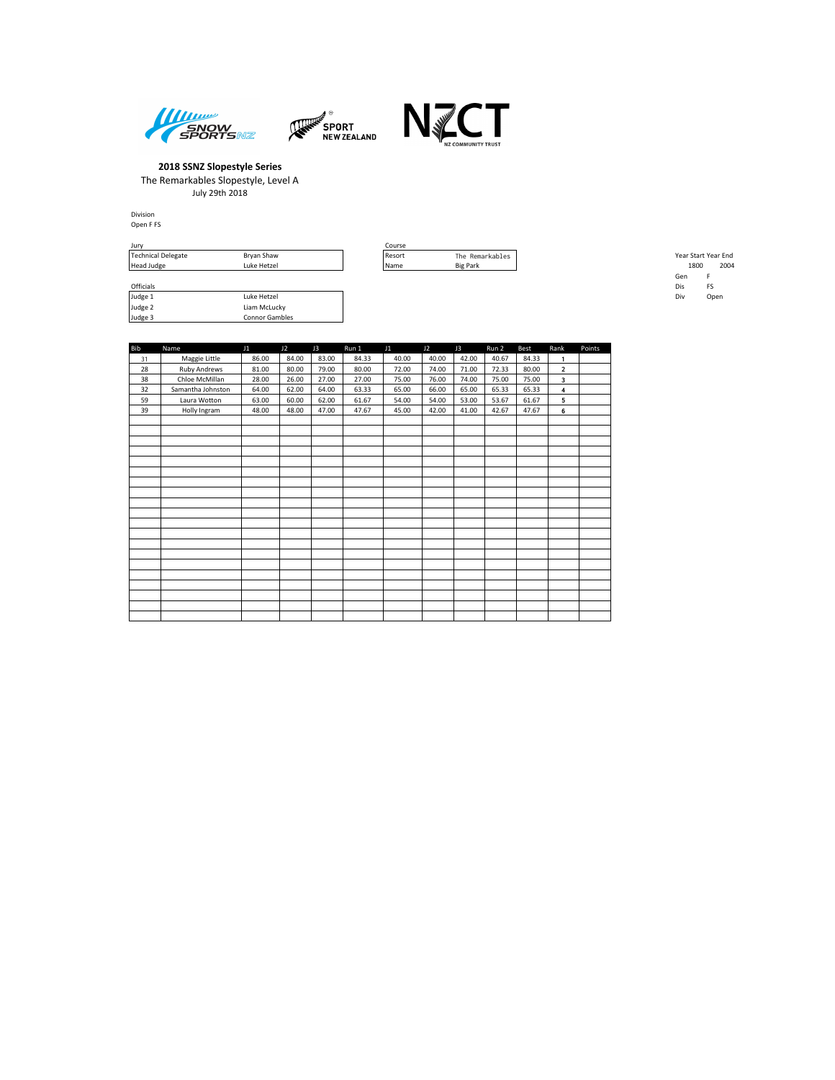





Formulation<br>
Judge 2 Liam McLucky<br>
Judge 3 Liam McLucky<br>
Ludge 3 Connor Gamble

Connor Gambles

Division Open F FS

| Jury               |             | Course |                 |                     |      |
|--------------------|-------------|--------|-----------------|---------------------|------|
| Technical Delegate | Bryan Shaw  | Resort | The Remarkables | Year Start Year End |      |
| Head Judge         | Luke Hetzel | l Name | <b>Big Park</b> | 1800                | 2004 |
|                    |             |        |                 | Gen                 |      |
| Officials          |             |        |                 | Dis                 |      |

|            | Technical Delegate | Bryan Shaw  | Resort | The Remarkables | Year Start Year End |      |
|------------|--------------------|-------------|--------|-----------------|---------------------|------|
| Head Judge |                    | Luke Hetzel | l Name | <b>Big Park</b> | 1800                | 2004 |
|            |                    |             |        |                 | Gen                 |      |
| Officials  |                    |             |        |                 | Dis                 | FS   |
| Judge 1    |                    | Luke Hetzel |        |                 | Div                 | Open |

| <b>Bib</b> | Name                | J1    | J2    | J3    | Run 1 | J1    | J2    | J3    | Run 2 | <b>Best</b> | Rank                    | Points |
|------------|---------------------|-------|-------|-------|-------|-------|-------|-------|-------|-------------|-------------------------|--------|
| 31         | Maggie Little       | 86.00 | 84.00 | 83.00 | 84.33 | 40.00 | 40.00 | 42.00 | 40.67 | 84.33       | 1                       |        |
| 28         | <b>Ruby Andrews</b> | 81.00 | 80.00 | 79.00 | 80.00 | 72.00 | 74.00 | 71.00 | 72.33 | 80.00       | $\overline{\mathbf{2}}$ |        |
| 38         | Chloe McMillan      | 28.00 | 26.00 | 27.00 | 27.00 | 75.00 | 76.00 | 74.00 | 75.00 | 75.00       | 3                       |        |
| 32         | Samantha Johnston   | 64.00 | 62.00 | 64.00 | 63.33 | 65.00 | 66.00 | 65.00 | 65.33 | 65.33       | $\overline{4}$          |        |
| 59         | Laura Wotton        | 63.00 | 60.00 | 62.00 | 61.67 | 54.00 | 54.00 | 53.00 | 53.67 | 61.67       | 5                       |        |
| 39         | Holly Ingram        | 48.00 | 48.00 | 47.00 | 47.67 | 45.00 | 42.00 | 41.00 | 42.67 | 47.67       | 6                       |        |
|            |                     |       |       |       |       |       |       |       |       |             |                         |        |
|            |                     |       |       |       |       |       |       |       |       |             |                         |        |
|            |                     |       |       |       |       |       |       |       |       |             |                         |        |
|            |                     |       |       |       |       |       |       |       |       |             |                         |        |
|            |                     |       |       |       |       |       |       |       |       |             |                         |        |
|            |                     |       |       |       |       |       |       |       |       |             |                         |        |
|            |                     |       |       |       |       |       |       |       |       |             |                         |        |
|            |                     |       |       |       |       |       |       |       |       |             |                         |        |
|            |                     |       |       |       |       |       |       |       |       |             |                         |        |
|            |                     |       |       |       |       |       |       |       |       |             |                         |        |
|            |                     |       |       |       |       |       |       |       |       |             |                         |        |
|            |                     |       |       |       |       |       |       |       |       |             |                         |        |
|            |                     |       |       |       |       |       |       |       |       |             |                         |        |
|            |                     |       |       |       |       |       |       |       |       |             |                         |        |
|            |                     |       |       |       |       |       |       |       |       |             |                         |        |
|            |                     |       |       |       |       |       |       |       |       |             |                         |        |
|            |                     |       |       |       |       |       |       |       |       |             |                         |        |
|            |                     |       |       |       |       |       |       |       |       |             |                         |        |
|            |                     |       |       |       |       |       |       |       |       |             |                         |        |
|            |                     |       |       |       |       |       |       |       |       |             |                         |        |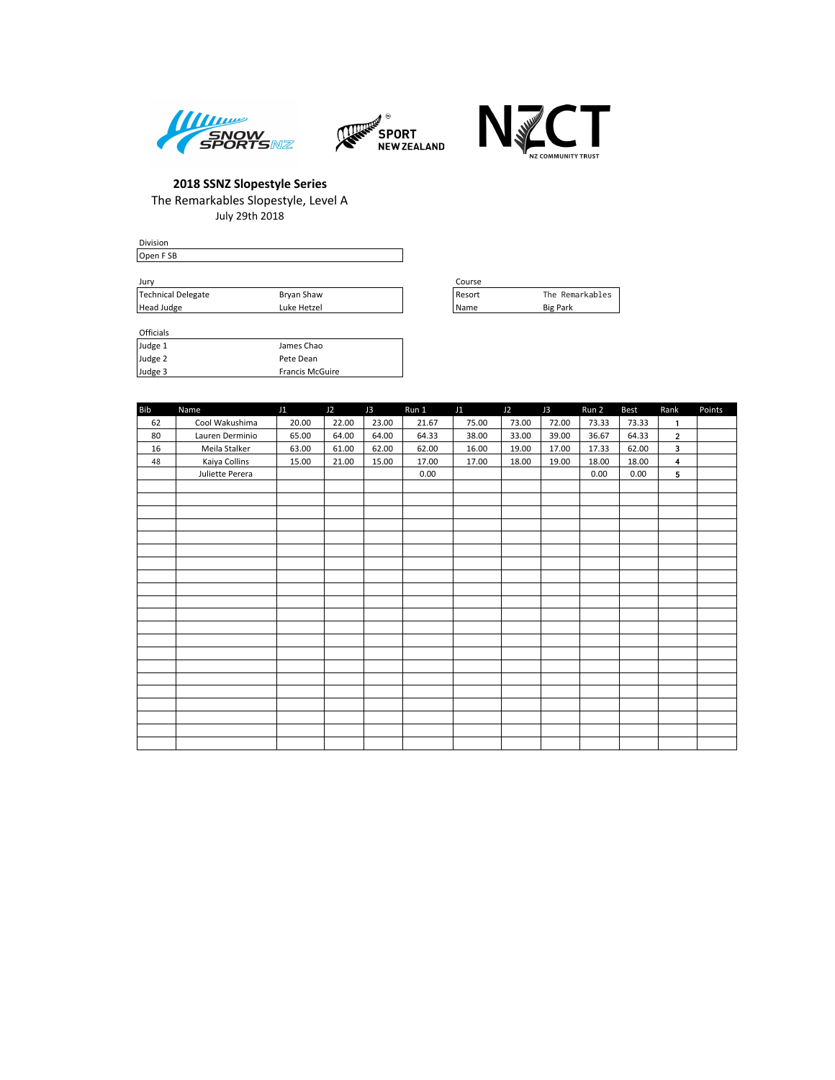





Division Open F SB Jury Course

|                    |             | ----   |                 |
|--------------------|-------------|--------|-----------------|
| Technical Delegate | Bryan Shaw  | Resort | The Remarkables |
| Head Judge         | Luke Hetzel | l Name | <b>Big Park</b> |

| Course |                 |
|--------|-----------------|
| Resort | The Remarkables |
| Name   | <b>Big Park</b> |

Officials

| Judge 1 | James Chao             |
|---------|------------------------|
| Judge 2 | Pete Dean              |
| Judge 3 | <b>Francis McGuire</b> |

| <b>Bib</b> | Name            | J1    | J2    | J3    | Run 1 | J1    | J2    | J3    | Run 2 | <b>Best</b> | Rank                    | Points |
|------------|-----------------|-------|-------|-------|-------|-------|-------|-------|-------|-------------|-------------------------|--------|
| 62         | Cool Wakushima  | 20.00 | 22.00 | 23.00 | 21.67 | 75.00 | 73.00 | 72.00 | 73.33 | 73.33       | $\mathbf{1}$            |        |
| 80         | Lauren Derminio | 65.00 | 64.00 | 64.00 | 64.33 | 38.00 | 33.00 | 39.00 | 36.67 | 64.33       | $\overline{2}$          |        |
| 16         | Meila Stalker   | 63.00 | 61.00 | 62.00 | 62.00 | 16.00 | 19.00 | 17.00 | 17.33 | 62.00       | 3                       |        |
| 48         | Kaiya Collins   | 15.00 | 21.00 | 15.00 | 17.00 | 17.00 | 18.00 | 19.00 | 18.00 | 18.00       | $\overline{\mathbf{4}}$ |        |
|            | Juliette Perera |       |       |       | 0.00  |       |       |       | 0.00  | 0.00        | 5                       |        |
|            |                 |       |       |       |       |       |       |       |       |             |                         |        |
|            |                 |       |       |       |       |       |       |       |       |             |                         |        |
|            |                 |       |       |       |       |       |       |       |       |             |                         |        |
|            |                 |       |       |       |       |       |       |       |       |             |                         |        |
|            |                 |       |       |       |       |       |       |       |       |             |                         |        |
|            |                 |       |       |       |       |       |       |       |       |             |                         |        |
|            |                 |       |       |       |       |       |       |       |       |             |                         |        |
|            |                 |       |       |       |       |       |       |       |       |             |                         |        |
|            |                 |       |       |       |       |       |       |       |       |             |                         |        |
|            |                 |       |       |       |       |       |       |       |       |             |                         |        |
|            |                 |       |       |       |       |       |       |       |       |             |                         |        |
|            |                 |       |       |       |       |       |       |       |       |             |                         |        |
|            |                 |       |       |       |       |       |       |       |       |             |                         |        |
|            |                 |       |       |       |       |       |       |       |       |             |                         |        |
|            |                 |       |       |       |       |       |       |       |       |             |                         |        |
|            |                 |       |       |       |       |       |       |       |       |             |                         |        |
|            |                 |       |       |       |       |       |       |       |       |             |                         |        |
|            |                 |       |       |       |       |       |       |       |       |             |                         |        |
|            |                 |       |       |       |       |       |       |       |       |             |                         |        |
|            |                 |       |       |       |       |       |       |       |       |             |                         |        |
|            |                 |       |       |       |       |       |       |       |       |             |                         |        |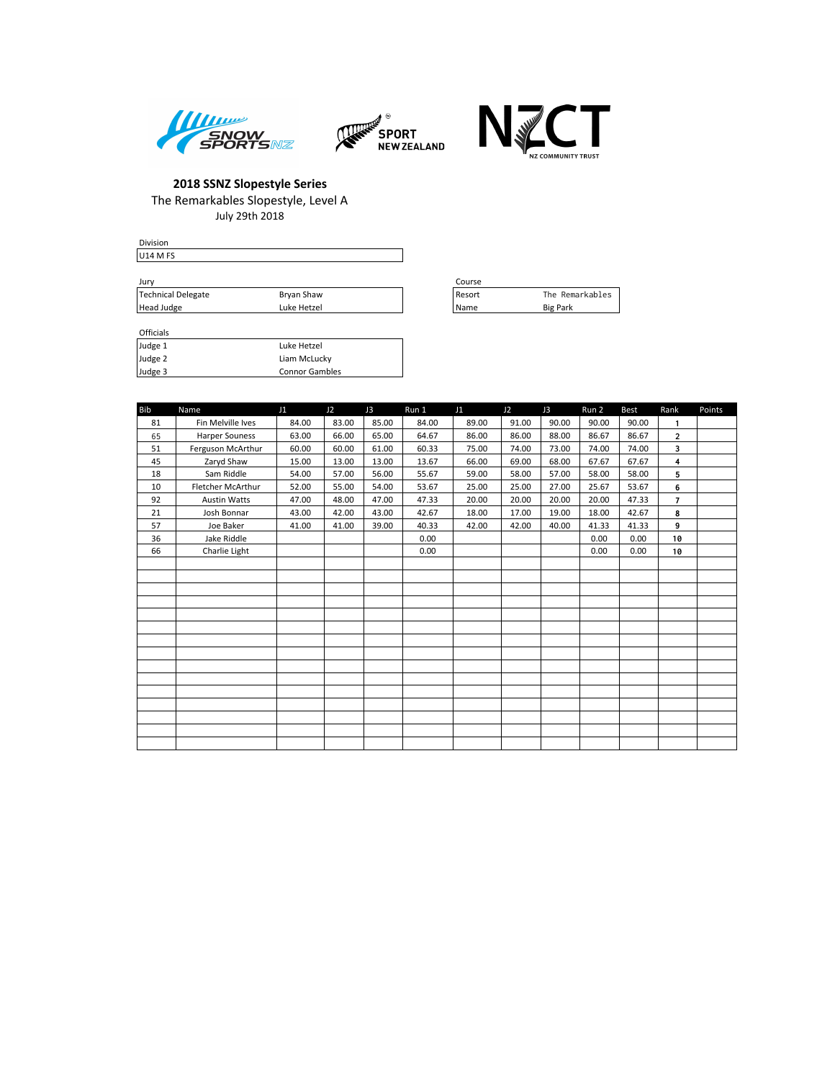





Division U14 M FS

| Jurv               |             | Course |                 |
|--------------------|-------------|--------|-----------------|
| Technical Delegate | Brvan Shaw  | Resort | The Remarkables |
| Head Judge         | Luke Hetzel | l Name | <b>Big Park</b> |

| Course |                 |
|--------|-----------------|
| Resort | The Remarkables |
| Name   | <b>Big Park</b> |

| Officials |                       |
|-----------|-----------------------|
| Judge 1   | Luke Hetzel           |
| Judge 2   | Liam McLucky          |
| Judge 3   | <b>Connor Gambles</b> |

| <b>Bib</b> | Name                | J1    | J2    | J3    | Run 1 | J <sub>1</sub> | J2    | J3    | Run 2 | <b>Best</b> | Rank                    | Points |
|------------|---------------------|-------|-------|-------|-------|----------------|-------|-------|-------|-------------|-------------------------|--------|
| 81         | Fin Melville Ives   | 84.00 | 83.00 | 85.00 | 84.00 | 89.00          | 91.00 | 90.00 | 90.00 | 90.00       | $\mathbf{1}$            |        |
| 65         | Harper Souness      | 63.00 | 66.00 | 65.00 | 64.67 | 86.00          | 86.00 | 88.00 | 86.67 | 86.67       | $\overline{2}$          |        |
| 51         | Ferguson McArthur   | 60.00 | 60.00 | 61.00 | 60.33 | 75.00          | 74.00 | 73.00 | 74.00 | 74.00       | 3                       |        |
| 45         | Zaryd Shaw          | 15.00 | 13.00 | 13.00 | 13.67 | 66.00          | 69.00 | 68.00 | 67.67 | 67.67       | $\overline{\mathbf{4}}$ |        |
| 18         | Sam Riddle          | 54.00 | 57.00 | 56.00 | 55.67 | 59.00          | 58.00 | 57.00 | 58.00 | 58.00       | 5                       |        |
| 10         | Fletcher McArthur   | 52.00 | 55.00 | 54.00 | 53.67 | 25.00          | 25.00 | 27.00 | 25.67 | 53.67       | 6                       |        |
| 92         | <b>Austin Watts</b> | 47.00 | 48.00 | 47.00 | 47.33 | 20.00          | 20.00 | 20.00 | 20.00 | 47.33       | $\overline{7}$          |        |
| 21         | Josh Bonnar         | 43.00 | 42.00 | 43.00 | 42.67 | 18.00          | 17.00 | 19.00 | 18.00 | 42.67       | 8                       |        |
| 57         | Joe Baker           | 41.00 | 41.00 | 39.00 | 40.33 | 42.00          | 42.00 | 40.00 | 41.33 | 41.33       | 9                       |        |
| 36         | Jake Riddle         |       |       |       | 0.00  |                |       |       | 0.00  | 0.00        | 10                      |        |
| 66         | Charlie Light       |       |       |       | 0.00  |                |       |       | 0.00  | 0.00        | 10                      |        |
|            |                     |       |       |       |       |                |       |       |       |             |                         |        |
|            |                     |       |       |       |       |                |       |       |       |             |                         |        |
|            |                     |       |       |       |       |                |       |       |       |             |                         |        |
|            |                     |       |       |       |       |                |       |       |       |             |                         |        |
|            |                     |       |       |       |       |                |       |       |       |             |                         |        |
|            |                     |       |       |       |       |                |       |       |       |             |                         |        |
|            |                     |       |       |       |       |                |       |       |       |             |                         |        |
|            |                     |       |       |       |       |                |       |       |       |             |                         |        |
|            |                     |       |       |       |       |                |       |       |       |             |                         |        |
|            |                     |       |       |       |       |                |       |       |       |             |                         |        |
|            |                     |       |       |       |       |                |       |       |       |             |                         |        |
|            |                     |       |       |       |       |                |       |       |       |             |                         |        |
|            |                     |       |       |       |       |                |       |       |       |             |                         |        |
|            |                     |       |       |       |       |                |       |       |       |             |                         |        |
|            |                     |       |       |       |       |                |       |       |       |             |                         |        |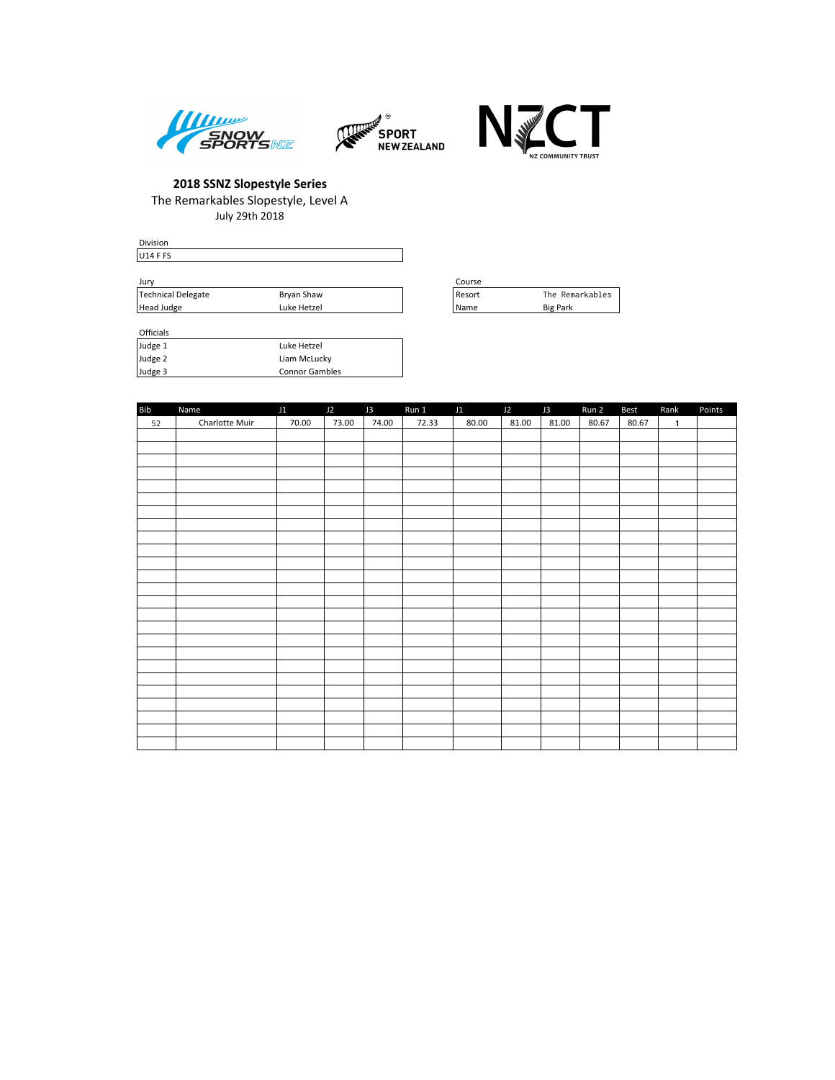





Division U14 F FS Jury Course

| .                  |             | ------ |                    |
|--------------------|-------------|--------|--------------------|
| Technical Delegate | Bryan Shaw  | Resort | Remarkables<br>™he |
| Head Judge         | Luke Hetzel | l Name | <b>Big Park</b>    |

| Course |                 |
|--------|-----------------|
| Resort | The Remarkables |
| Name   | <b>Big Park</b> |

**Officials** 

| Judge 1 | Luke Hetzel           |
|---------|-----------------------|
| Judge 2 | Liam McLucky          |
| Judge 3 | <b>Connor Gambles</b> |

| <b>Bib</b> | Name           | J1    | J2    | J3    | Run 1 | J1    | J2    | J3    | Run 2 | <b>Best</b> | Rank         | Points |
|------------|----------------|-------|-------|-------|-------|-------|-------|-------|-------|-------------|--------------|--------|
| 52         | Charlotte Muir | 70.00 | 73.00 | 74.00 | 72.33 | 80.00 | 81.00 | 81.00 | 80.67 | 80.67       | $\mathbf{1}$ |        |
|            |                |       |       |       |       |       |       |       |       |             |              |        |
|            |                |       |       |       |       |       |       |       |       |             |              |        |
|            |                |       |       |       |       |       |       |       |       |             |              |        |
|            |                |       |       |       |       |       |       |       |       |             |              |        |
|            |                |       |       |       |       |       |       |       |       |             |              |        |
|            |                |       |       |       |       |       |       |       |       |             |              |        |
|            |                |       |       |       |       |       |       |       |       |             |              |        |
|            |                |       |       |       |       |       |       |       |       |             |              |        |
|            |                |       |       |       |       |       |       |       |       |             |              |        |
|            |                |       |       |       |       |       |       |       |       |             |              |        |
|            |                |       |       |       |       |       |       |       |       |             |              |        |
|            |                |       |       |       |       |       |       |       |       |             |              |        |
|            |                |       |       |       |       |       |       |       |       |             |              |        |
|            |                |       |       |       |       |       |       |       |       |             |              |        |
|            |                |       |       |       |       |       |       |       |       |             |              |        |
|            |                |       |       |       |       |       |       |       |       |             |              |        |
|            |                |       |       |       |       |       |       |       |       |             |              |        |
|            |                |       |       |       |       |       |       |       |       |             |              |        |
|            |                |       |       |       |       |       |       |       |       |             |              |        |
|            |                |       |       |       |       |       |       |       |       |             |              |        |
|            |                |       |       |       |       |       |       |       |       |             |              |        |
|            |                |       |       |       |       |       |       |       |       |             |              |        |
|            |                |       |       |       |       |       |       |       |       |             |              |        |
|            |                |       |       |       |       |       |       |       |       |             |              |        |
|            |                |       |       |       |       |       |       |       |       |             |              |        |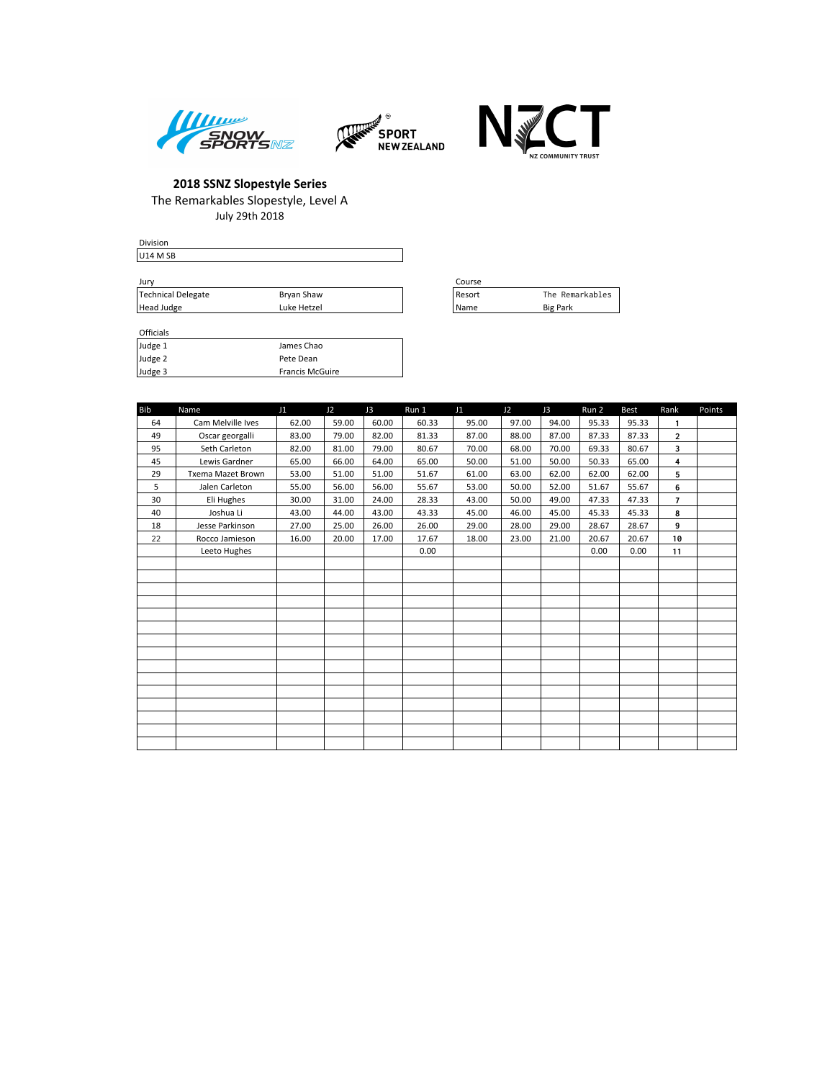





| <b>Division</b>                 |             |        |
|---------------------------------|-------------|--------|
| U <sub>14</sub> M <sub>SB</sub> |             |        |
|                                 |             |        |
| Jury                            |             | Course |
| Technical Delegate              | Bryan Shaw  | Resort |
| Head Judge                      | Luke Hetzel | l Name |

| Course       |                 |
|--------------|-----------------|
| Resort       | The Remarkables |
| <b>IName</b> | <b>Big Park</b> |

#### Officials

 $H$ ead Judge

| Judge 1 | James Chao             |
|---------|------------------------|
| Judge 2 | Pete Dean              |
| Judge 3 | <b>Francis McGuire</b> |

| <b>Bib</b> | Name              | J1    | J <sub>2</sub> | J3    | Run 1 | J1    | J2    | J3    | Run 2 | <b>Best</b> | Rank           | Points |
|------------|-------------------|-------|----------------|-------|-------|-------|-------|-------|-------|-------------|----------------|--------|
| 64         | Cam Melville Ives | 62.00 | 59.00          | 60.00 | 60.33 | 95.00 | 97.00 | 94.00 | 95.33 | 95.33       | $\mathbf{1}$   |        |
| 49         | Oscar georgalli   | 83.00 | 79.00          | 82.00 | 81.33 | 87.00 | 88.00 | 87.00 | 87.33 | 87.33       | $\overline{2}$ |        |
| 95         | Seth Carleton     | 82.00 | 81.00          | 79.00 | 80.67 | 70.00 | 68.00 | 70.00 | 69.33 | 80.67       | 3              |        |
| 45         | Lewis Gardner     | 65.00 | 66.00          | 64.00 | 65.00 | 50.00 | 51.00 | 50.00 | 50.33 | 65.00       | 4              |        |
| 29         | Txema Mazet Brown | 53.00 | 51.00          | 51.00 | 51.67 | 61.00 | 63.00 | 62.00 | 62.00 | 62.00       | 5              |        |
| 5          | Jalen Carleton    | 55.00 | 56.00          | 56.00 | 55.67 | 53.00 | 50.00 | 52.00 | 51.67 | 55.67       | 6              |        |
| 30         | Eli Hughes        | 30.00 | 31.00          | 24.00 | 28.33 | 43.00 | 50.00 | 49.00 | 47.33 | 47.33       | $\overline{7}$ |        |
| 40         | Joshua Li         | 43.00 | 44.00          | 43.00 | 43.33 | 45.00 | 46.00 | 45.00 | 45.33 | 45.33       | 8              |        |
| 18         | Jesse Parkinson   | 27.00 | 25.00          | 26.00 | 26.00 | 29.00 | 28.00 | 29.00 | 28.67 | 28.67       | 9              |        |
| 22         | Rocco Jamieson    | 16.00 | 20.00          | 17.00 | 17.67 | 18.00 | 23.00 | 21.00 | 20.67 | 20.67       | 10             |        |
|            | Leeto Hughes      |       |                |       | 0.00  |       |       |       | 0.00  | 0.00        | 11             |        |
|            |                   |       |                |       |       |       |       |       |       |             |                |        |
|            |                   |       |                |       |       |       |       |       |       |             |                |        |
|            |                   |       |                |       |       |       |       |       |       |             |                |        |
|            |                   |       |                |       |       |       |       |       |       |             |                |        |
|            |                   |       |                |       |       |       |       |       |       |             |                |        |
|            |                   |       |                |       |       |       |       |       |       |             |                |        |
|            |                   |       |                |       |       |       |       |       |       |             |                |        |
|            |                   |       |                |       |       |       |       |       |       |             |                |        |
|            |                   |       |                |       |       |       |       |       |       |             |                |        |
|            |                   |       |                |       |       |       |       |       |       |             |                |        |
|            |                   |       |                |       |       |       |       |       |       |             |                |        |
|            |                   |       |                |       |       |       |       |       |       |             |                |        |
|            |                   |       |                |       |       |       |       |       |       |             |                |        |
|            |                   |       |                |       |       |       |       |       |       |             |                |        |
|            |                   |       |                |       |       |       |       |       |       |             |                |        |